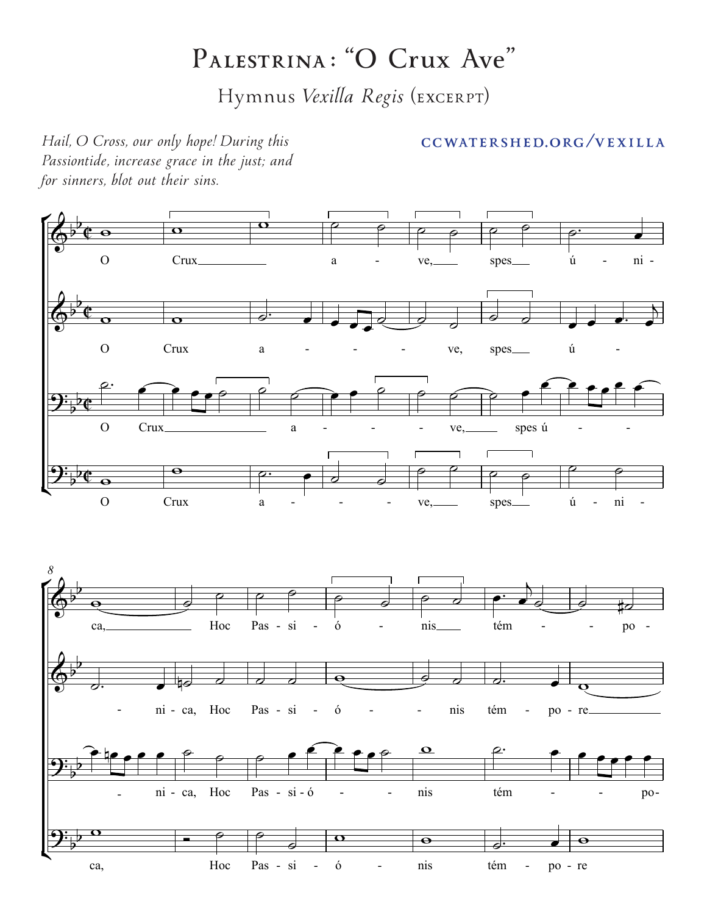## $P$ ALESTRINA: "O Crux Ave"

Hymnus *Vexilla Regis* (EXCERPT)

## ſ⊧<br>I ¢ 。<br>[⊑ ¢ *8*  $\overline{\mathfrak{e}}$  $\overline{\mathbf{c}}$  $\overline{\mathbf{e}}$  $\overline{\mathfrak{e}}$  $\overline{\mathbb{Q}^{\flat}}$ b O Crux a - ve, spes ú - ni - $\overline{\mathbb{Q}^{\flat}}$ b O Crux a - - - ve, spes ú - $\mathbf{\mathcal{Y}}^{\mathbf{:}}_{\flat}$ O Crux a - - ve, spes ú - - $\mathbf{\mathcal{Y}}^{\mathbf{:}}_{\flat}$ b O Crux a - - - ve, spes ú - ni - $\overline{\mathbb{Q}^{\flat}}$ b ca, Hoc Pas - si - ó - nis tém - - po -  $\overline{\mathbb{Q}^{\flat}}$ b - ni - ca, Hoc Pas - si - ó - - nis tém - po - re  $\mathbf{\mathcal{Y}}^{\mathbf{:}}_{\flat}$ b - ni - ca, Hoc Pas - si - ó - - - nis tém - - - po- $\mathbf{\mathcal{Y}}^{\mathbf{:}}_{\flat}$ b ca, Hoc Pas - si - ó - nis tém - po - re <sup>w</sup> <sup>w</sup> <sup>w</sup> ˙ ˙ ˙ ˙ ˙ ˙ ˙™ <sup>œ</sup>  $\circ$   $\circ$   $\circ$   $\circ$   $\circ$   $\circ$  $\overline{\phantom{a}}$ ˙ ˙ œ œ œ™ œ  $\overline{b}$ ˙™ <sup>œ</sup> <sup>œ</sup> <sup>œ</sup> <sup>œ</sup> ˙ ˙ ˙ <sup>œ</sup> <sup>œ</sup> ˙ ˙ ˙ ˙ <sup>œ</sup>  $e^e$  $\overline{\mathbf{e}}$ <sup>w</sup> ˙™ <sup>œ</sup> ˙ ˙  $\begin{array}{c|c|c|c|c|c|c|c|c} \hline \circ & \circ & \circ & \circ \end{array}$  $^{\circ}$   $^{\circ}$  $\overline{\mathbf{e}}$   $\overline{\mathbf{e}}$ ˙ ˙ ˙ ˙ ˙ ˙ ˙ <sup>œ</sup>™ <sup>œ</sup>  $\overline{a}$  $\phi$   $\phi$   $\sharp \sigma$  $\frac{1}{\sqrt{2}}$  ,  $\frac{1}{\sqrt{2}}$  ,  $\frac{1}{\sqrt{2}}$  ,  $\frac{1}{\sqrt{2}}$  ,  $\frac{1}{\sqrt{2}}$  ,  $\frac{1}{\sqrt{2}}$  ,  $\frac{1}{\sqrt{2}}$  ,  $\frac{1}{\sqrt{2}}$  ,  $\frac{1}{\sqrt{2}}$  ,  $\frac{1}{\sqrt{2}}$  ,  $\frac{1}{\sqrt{2}}$  ,  $\frac{1}{\sqrt{2}}$  ,  $\frac{1}{\sqrt{2}}$  ,  $\frac{1}{\sqrt{2}}$  ,  $\frac{1}{\sqrt{2}}$ <sup>œ</sup> nœ <sup>œ</sup> <sup>œ</sup> <sup>œ</sup> ˙ ˙ ˙ <sup>œ</sup> <sup>œ</sup> <sup>œ</sup> <sup>œ</sup> <sup>œ</sup> ˙ <sup>w</sup> ˙™ <sup>œ</sup> <sup>œ</sup> <sup>œ</sup> <sup>œ</sup> <sup>œ</sup> <sup>œ</sup>  $\begin{array}{c|c|c|c|c} \hline \circ & \circ & \circ \end{array}$  $\overline{\mathbf{a}}$  $\begin{array}{c|c|c|c} \mathbf{O} & \mathbf{O} & \mathbf{O} & \mathbf{O} \end{array}$

*Passiontide, increase grace in the just; and for sinners, blot out their sins.*

## *Hail, O Cross, our only hope! During this Passiontide, Hail, O Cross, our only hope! During this CCWATERSHED.ORG* /**VEXILLA**